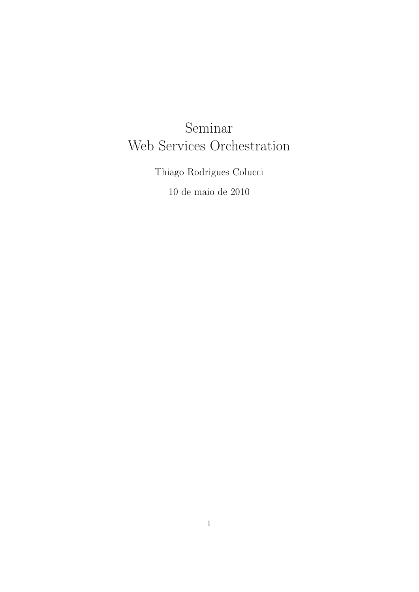# Seminar Web Services Orchestration

Thiago Rodrigues Colucci 10 de maio de 2010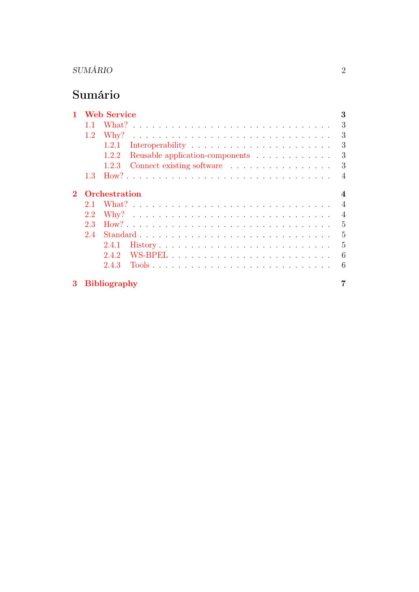# Sumário

| 1        |     | <b>Web Service</b>                                                                       | 3                        |
|----------|-----|------------------------------------------------------------------------------------------|--------------------------|
|          |     | <u>. A series and a series are a series and a series and a series and</u><br>What?       | 3                        |
|          | 1.2 | Why?                                                                                     | 3                        |
|          |     | 1.2.1                                                                                    | 3                        |
|          |     | Reusable application-components<br>1.2.2                                                 | 3                        |
|          |     | 1.2.3                                                                                    | 3                        |
|          | 1.3 |                                                                                          | $\overline{\mathcal{A}}$ |
| $\bf{2}$ |     | <b>Orchestration</b>                                                                     | $\boldsymbol{4}$         |
|          | 2.1 |                                                                                          | $\overline{A}$           |
|          | 2.2 |                                                                                          | $\overline{4}$           |
|          | 2.3 |                                                                                          | 5                        |
|          | 2.4 | $Standard \dots \dots \dots \dots \dots \dots \dots \dots \dots \dots \dots \dots \dots$ | 5                        |
|          |     | 2.4.1                                                                                    | 5                        |
|          |     | 2.4.2                                                                                    | 6                        |
|          |     | 2.4.3                                                                                    | 6                        |
| 3        |     | <b>Bibliography</b>                                                                      |                          |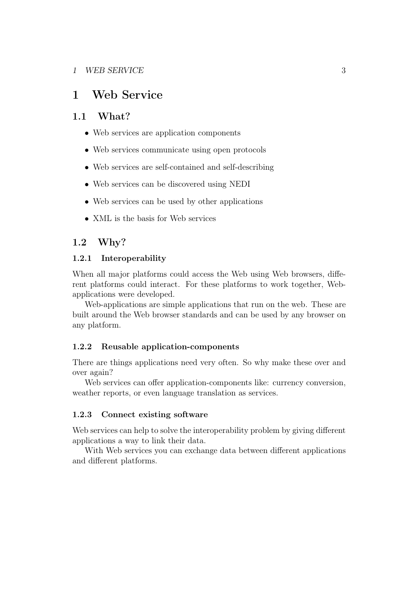# <span id="page-2-0"></span>1 Web Service

## <span id="page-2-1"></span>1.1 What?

- Web services are application components
- Web services communicate using open protocols
- Web services are self-contained and self-describing
- Web services can be discovered using NEDI
- Web services can be used by other applications
- XML is the basis for Web services

## <span id="page-2-2"></span>1.2 Why?

### <span id="page-2-3"></span>1.2.1 Interoperability

When all major platforms could access the Web using Web browsers, different platforms could interact. For these platforms to work together, Webapplications were developed.

Web-applications are simple applications that run on the web. These are built around the Web browser standards and can be used by any browser on any platform.

#### <span id="page-2-4"></span>1.2.2 Reusable application-components

There are things applications need very often. So why make these over and over again?

Web services can offer application-components like: currency conversion, weather reports, or even language translation as services.

### <span id="page-2-5"></span>1.2.3 Connect existing software

Web services can help to solve the interoperability problem by giving different applications a way to link their data.

With Web services you can exchange data between different applications and different platforms.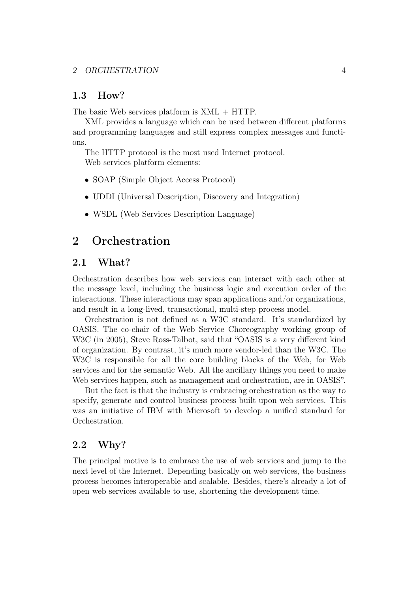## <span id="page-3-0"></span>1.3 How?

The basic Web services platform is  $XML + HTTP$ .

XML provides a language which can be used between different platforms and programming languages and still express complex messages and functions.

The HTTP protocol is the most used Internet protocol. Web services platform elements:

- SOAP (Simple Object Access Protocol)
- UDDI (Universal Description, Discovery and Integration)
- WSDL (Web Services Description Language)

# <span id="page-3-1"></span>2 Orchestration

## <span id="page-3-2"></span>2.1 What?

Orchestration describes how web services can interact with each other at the message level, including the business logic and execution order of the interactions. These interactions may span applications and/or organizations, and result in a long-lived, transactional, multi-step process model.

Orchestration is not defined as a W3C standard. It's standardized by OASIS. The co-chair of the Web Service Choreography working group of W3C (in 2005), Steve Ross-Talbot, said that "OASIS is a very different kind of organization. By contrast, it's much more vendor-led than the W3C. The W3C is responsible for all the core building blocks of the Web, for Web services and for the semantic Web. All the ancillary things you need to make Web services happen, such as management and orchestration, are in OASIS".

But the fact is that the industry is embracing orchestration as the way to specify, generate and control business process built upon web services. This was an initiative of IBM with Microsoft to develop a unified standard for Orchestration.

## <span id="page-3-3"></span>2.2 Why?

The principal motive is to embrace the use of web services and jump to the next level of the Internet. Depending basically on web services, the business process becomes interoperable and scalable. Besides, there's already a lot of open web services available to use, shortening the development time.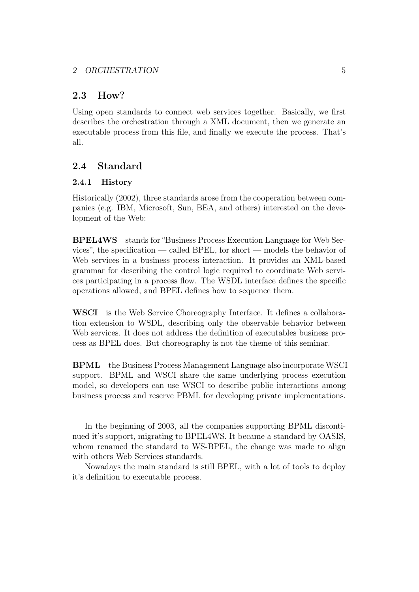## <span id="page-4-0"></span>2.3 How?

Using open standards to connect web services together. Basically, we first describes the orchestration through a XML document, then we generate an executable process from this file, and finally we execute the process. That's all.

# <span id="page-4-1"></span>2.4 Standard

## <span id="page-4-2"></span>2.4.1 History

Historically (2002), three standards arose from the cooperation between companies (e.g. IBM, Microsoft, Sun, BEA, and others) interested on the development of the Web:

BPEL4WS stands for "Business Process Execution Language for Web Services", the specification — called BPEL, for short — models the behavior of Web services in a business process interaction. It provides an XML-based grammar for describing the control logic required to coordinate Web services participating in a process flow. The WSDL interface defines the specific operations allowed, and BPEL defines how to sequence them.

WSCI is the Web Service Choreography Interface. It defines a collaboration extension to WSDL, describing only the observable behavior between Web services. It does not address the definition of executables business process as BPEL does. But choreography is not the theme of this seminar.

BPML the Business Process Management Language also incorporate WSCI support. BPML and WSCI share the same underlying process execution model, so developers can use WSCI to describe public interactions among business process and reserve PBML for developing private implementations.

In the beginning of 2003, all the companies supporting BPML discontinued it's support, migrating to BPEL4WS. It became a standard by OASIS, whom renamed the standard to WS-BPEL, the change was made to align with others Web Services standards.

Nowadays the main standard is still BPEL, with a lot of tools to deploy it's definition to executable process.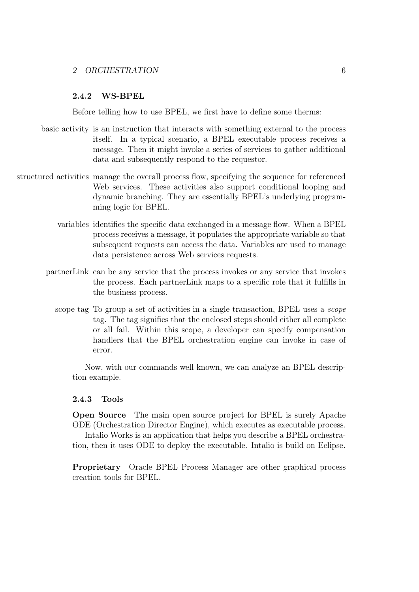### <span id="page-5-0"></span>2.4.2 WS-BPEL

Before telling how to use BPEL, we first have to define some therms:

- basic activity is an instruction that interacts with something external to the process itself. In a typical scenario, a BPEL executable process receives a message. Then it might invoke a series of services to gather additional data and subsequently respond to the requestor.
- structured activities manage the overall process flow, specifying the sequence for referenced Web services. These activities also support conditional looping and dynamic branching. They are essentially BPEL's underlying programming logic for BPEL.
	- variables identifies the specific data exchanged in a message flow. When a BPEL process receives a message, it populates the appropriate variable so that subsequent requests can access the data. Variables are used to manage data persistence across Web services requests.
	- partnerLink can be any service that the process invokes or any service that invokes the process. Each partnerLink maps to a specific role that it fulfills in the business process.
		- scope tag To group a set of activities in a single transaction, BPEL uses a scope tag. The tag signifies that the enclosed steps should either all complete or all fail. Within this scope, a developer can specify compensation handlers that the BPEL orchestration engine can invoke in case of error.

Now, with our commands well known, we can analyze an BPEL description example.

#### <span id="page-5-1"></span>2.4.3 Tools

Open Source The main open source project for BPEL is surely Apache ODE (Orchestration Director Engine), which executes as executable process.

Intalio Works is an application that helps you describe a BPEL orchestration, then it uses ODE to deploy the executable. Intalio is build on Eclipse.

Proprietary Oracle BPEL Process Manager are other graphical process creation tools for BPEL.